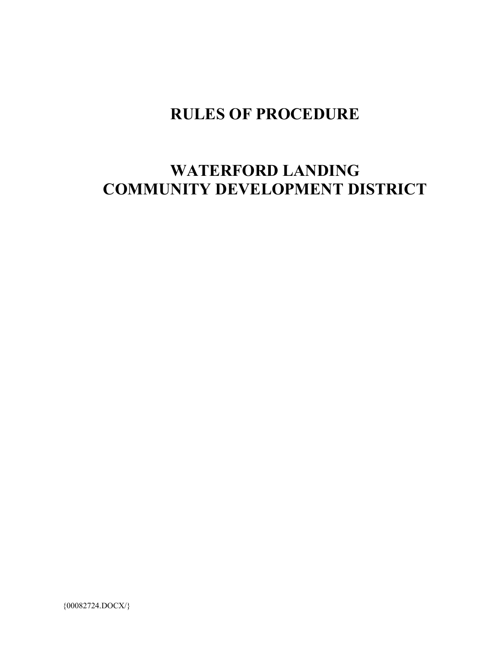## **RULES OF PROCEDURE**

# **WATERFORD LANDING COMMUNITY DEVELOPMENT DISTRICT**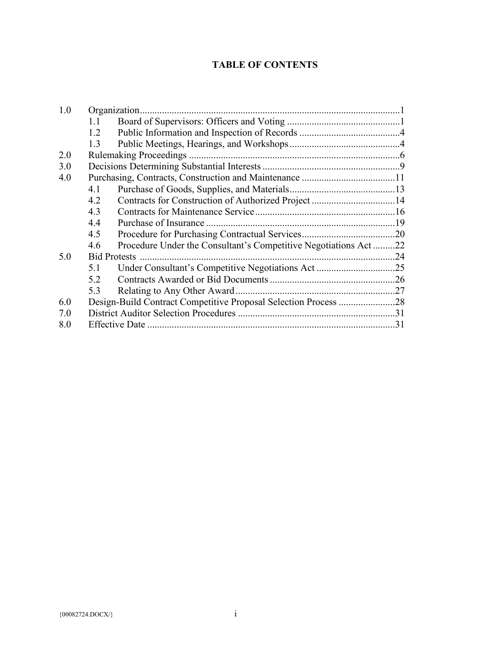### **TABLE OF CONTENTS**

| 1.0 |     |                                                                 |  |
|-----|-----|-----------------------------------------------------------------|--|
|     | 1.1 |                                                                 |  |
|     | 1.2 |                                                                 |  |
|     | 1.3 |                                                                 |  |
| 2.0 |     |                                                                 |  |
| 3.0 |     |                                                                 |  |
| 4.0 |     |                                                                 |  |
|     | 4.1 |                                                                 |  |
|     | 4.2 |                                                                 |  |
|     | 4.3 |                                                                 |  |
|     | 4.4 |                                                                 |  |
|     | 4.5 |                                                                 |  |
|     | 4.6 | Procedure Under the Consultant's Competitive Negotiations Act22 |  |
| 5.0 |     |                                                                 |  |
|     | 5.1 | Under Consultant's Competitive Negotiations Act25               |  |
|     | 5.2 |                                                                 |  |
|     | 5.3 |                                                                 |  |
| 6.0 |     |                                                                 |  |
| 7.0 |     |                                                                 |  |
| 8.0 |     |                                                                 |  |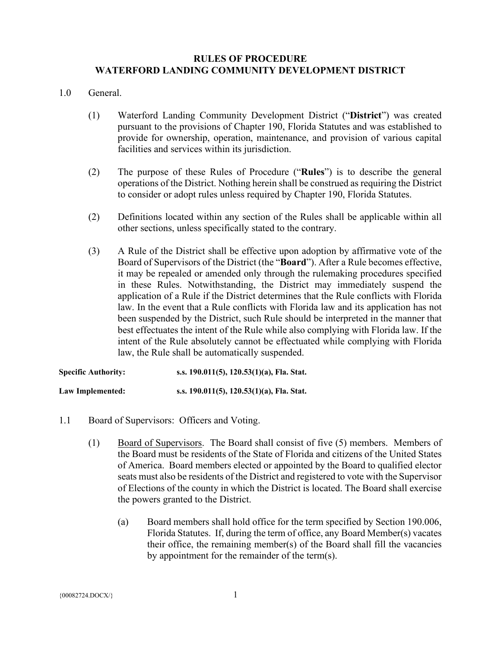#### **RULES OF PROCEDURE WATERFORD LANDING COMMUNITY DEVELOPMENT DISTRICT**

#### 1.0 General.

- (1) Waterford Landing Community Development District ("**District**") was created pursuant to the provisions of Chapter 190, Florida Statutes and was established to provide for ownership, operation, maintenance, and provision of various capital facilities and services within its jurisdiction.
- (2) The purpose of these Rules of Procedure ("**Rules**") is to describe the general operations of the District. Nothing herein shall be construed as requiring the District to consider or adopt rules unless required by Chapter 190, Florida Statutes.
- (2) Definitions located within any section of the Rules shall be applicable within all other sections, unless specifically stated to the contrary.
- (3) A Rule of the District shall be effective upon adoption by affirmative vote of the Board of Supervisors of the District (the "**Board**"). After a Rule becomes effective, it may be repealed or amended only through the rulemaking procedures specified in these Rules. Notwithstanding, the District may immediately suspend the application of a Rule if the District determines that the Rule conflicts with Florida law. In the event that a Rule conflicts with Florida law and its application has not been suspended by the District, such Rule should be interpreted in the manner that best effectuates the intent of the Rule while also complying with Florida law. If the intent of the Rule absolutely cannot be effectuated while complying with Florida law, the Rule shall be automatically suspended.

| <b>Specific Authority:</b> | s.s. 190.011(5), 120.53(1)(a), Fla. Stat. |
|----------------------------|-------------------------------------------|
| Law Implemented:           | s.s. 190.011(5), 120.53(1)(a), Fla. Stat. |

- 1.1 Board of Supervisors: Officers and Voting.
	- (1) Board of Supervisors. The Board shall consist of five (5) members. Members of the Board must be residents of the State of Florida and citizens of the United States of America. Board members elected or appointed by the Board to qualified elector seats must also be residents of the District and registered to vote with the Supervisor of Elections of the county in which the District is located. The Board shall exercise the powers granted to the District.
		- (a) Board members shall hold office for the term specified by Section 190.006, Florida Statutes. If, during the term of office, any Board Member(s) vacates their office, the remaining member(s) of the Board shall fill the vacancies by appointment for the remainder of the term(s).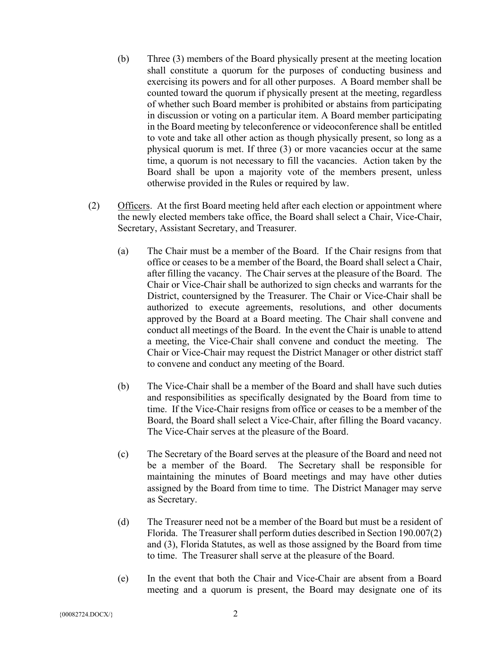- (b) Three (3) members of the Board physically present at the meeting location shall constitute a quorum for the purposes of conducting business and exercising its powers and for all other purposes. A Board member shall be counted toward the quorum if physically present at the meeting, regardless of whether such Board member is prohibited or abstains from participating in discussion or voting on a particular item. A Board member participating in the Board meeting by teleconference or videoconference shall be entitled to vote and take all other action as though physically present, so long as a physical quorum is met. If three (3) or more vacancies occur at the same time, a quorum is not necessary to fill the vacancies. Action taken by the Board shall be upon a majority vote of the members present, unless otherwise provided in the Rules or required by law.
- (2) Officers. At the first Board meeting held after each election or appointment where the newly elected members take office, the Board shall select a Chair, Vice-Chair, Secretary, Assistant Secretary, and Treasurer.
	- (a) The Chair must be a member of the Board. If the Chair resigns from that office or ceases to be a member of the Board, the Board shall select a Chair, after filling the vacancy. The Chair serves at the pleasure of the Board. The Chair or Vice-Chair shall be authorized to sign checks and warrants for the District, countersigned by the Treasurer. The Chair or Vice-Chair shall be authorized to execute agreements, resolutions, and other documents approved by the Board at a Board meeting. The Chair shall convene and conduct all meetings of the Board. In the event the Chair is unable to attend a meeting, the Vice-Chair shall convene and conduct the meeting. The Chair or Vice-Chair may request the District Manager or other district staff to convene and conduct any meeting of the Board.
	- (b) The Vice-Chair shall be a member of the Board and shall have such duties and responsibilities as specifically designated by the Board from time to time. If the Vice-Chair resigns from office or ceases to be a member of the Board, the Board shall select a Vice-Chair, after filling the Board vacancy. The Vice-Chair serves at the pleasure of the Board.
	- (c) The Secretary of the Board serves at the pleasure of the Board and need not be a member of the Board. The Secretary shall be responsible for maintaining the minutes of Board meetings and may have other duties assigned by the Board from time to time. The District Manager may serve as Secretary.
	- (d) The Treasurer need not be a member of the Board but must be a resident of Florida. The Treasurer shall perform duties described in Section 190.007(2) and (3), Florida Statutes, as well as those assigned by the Board from time to time. The Treasurer shall serve at the pleasure of the Board.
	- (e) In the event that both the Chair and Vice-Chair are absent from a Board meeting and a quorum is present, the Board may designate one of its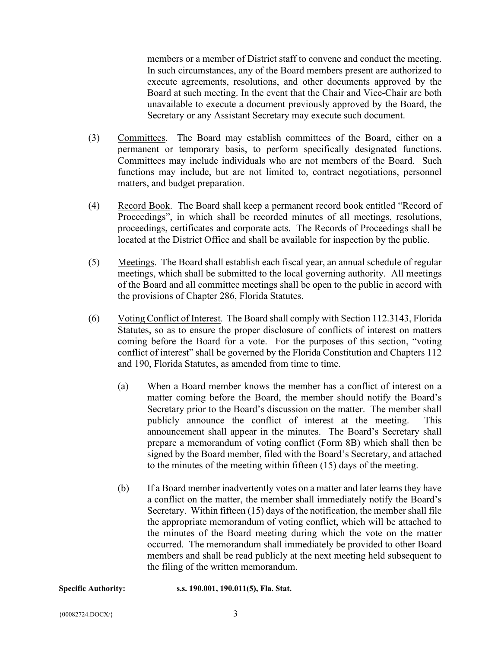members or a member of District staff to convene and conduct the meeting. In such circumstances, any of the Board members present are authorized to execute agreements, resolutions, and other documents approved by the Board at such meeting. In the event that the Chair and Vice-Chair are both unavailable to execute a document previously approved by the Board, the Secretary or any Assistant Secretary may execute such document.

- (3) Committees. The Board may establish committees of the Board, either on a permanent or temporary basis, to perform specifically designated functions. Committees may include individuals who are not members of the Board. Such functions may include, but are not limited to, contract negotiations, personnel matters, and budget preparation.
- (4) Record Book. The Board shall keep a permanent record book entitled "Record of Proceedings", in which shall be recorded minutes of all meetings, resolutions, proceedings, certificates and corporate acts. The Records of Proceedings shall be located at the District Office and shall be available for inspection by the public.
- (5) Meetings. The Board shall establish each fiscal year, an annual schedule of regular meetings, which shall be submitted to the local governing authority. All meetings of the Board and all committee meetings shall be open to the public in accord with the provisions of Chapter 286, Florida Statutes.
- (6) Voting Conflict of Interest. The Board shall comply with Section 112.3143, Florida Statutes, so as to ensure the proper disclosure of conflicts of interest on matters coming before the Board for a vote. For the purposes of this section, "voting conflict of interest" shall be governed by the Florida Constitution and Chapters 112 and 190, Florida Statutes, as amended from time to time.
	- (a) When a Board member knows the member has a conflict of interest on a matter coming before the Board, the member should notify the Board's Secretary prior to the Board's discussion on the matter. The member shall publicly announce the conflict of interest at the meeting. This announcement shall appear in the minutes. The Board's Secretary shall prepare a memorandum of voting conflict (Form 8B) which shall then be signed by the Board member, filed with the Board's Secretary, and attached to the minutes of the meeting within fifteen (15) days of the meeting.
	- (b) If a Board member inadvertently votes on a matter and later learns they have a conflict on the matter, the member shall immediately notify the Board's Secretary. Within fifteen (15) days of the notification, the member shall file the appropriate memorandum of voting conflict, which will be attached to the minutes of the Board meeting during which the vote on the matter occurred. The memorandum shall immediately be provided to other Board members and shall be read publicly at the next meeting held subsequent to the filing of the written memorandum.

**Specific Authority: s.s. 190.001, 190.011(5), Fla. Stat.**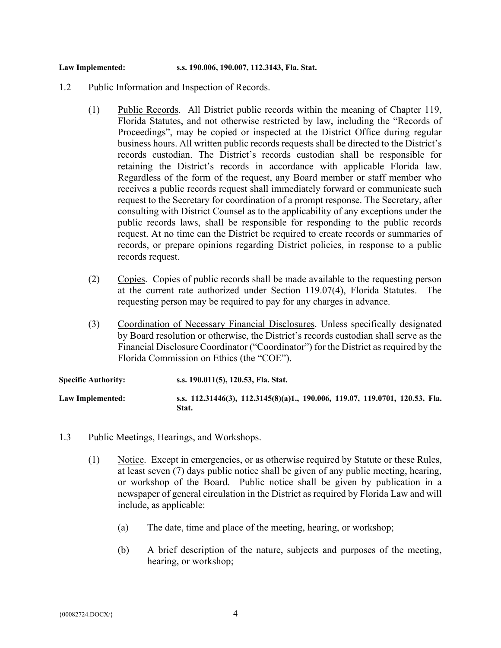#### **Law Implemented: s.s. 190.006, 190.007, 112.3143, Fla. Stat.**

- 1.2 Public Information and Inspection of Records.
	- (1) Public Records. All District public records within the meaning of Chapter 119, Florida Statutes, and not otherwise restricted by law, including the "Records of Proceedings", may be copied or inspected at the District Office during regular business hours. All written public records requests shall be directed to the District's records custodian. The District's records custodian shall be responsible for retaining the District's records in accordance with applicable Florida law. Regardless of the form of the request, any Board member or staff member who receives a public records request shall immediately forward or communicate such request to the Secretary for coordination of a prompt response. The Secretary, after consulting with District Counsel as to the applicability of any exceptions under the public records laws, shall be responsible for responding to the public records request. At no time can the District be required to create records or summaries of records, or prepare opinions regarding District policies, in response to a public records request.
	- (2) Copies. Copies of public records shall be made available to the requesting person at the current rate authorized under Section 119.07(4), Florida Statutes. The requesting person may be required to pay for any charges in advance.
	- (3) Coordination of Necessary Financial Disclosures. Unless specifically designated by Board resolution or otherwise, the District's records custodian shall serve as the Financial Disclosure Coordinator ("Coordinator") for the District as required by the Florida Commission on Ethics (the "COE").

| <b>Specific Authority:</b> | s.s. 190.011(5), 120.53, Fla. Stat.                                                   |
|----------------------------|---------------------------------------------------------------------------------------|
| Law Implemented:           | s.s. 112.31446(3), 112.3145(8)(a)1., 190.006, 119.07, 119.0701, 120.53, Fla.<br>Stat. |

- 1.3 Public Meetings, Hearings, and Workshops.
	- (1) Notice. Except in emergencies, or as otherwise required by Statute or these Rules, at least seven (7) days public notice shall be given of any public meeting, hearing, or workshop of the Board. Public notice shall be given by publication in a newspaper of general circulation in the District as required by Florida Law and will include, as applicable:
		- (a) The date, time and place of the meeting, hearing, or workshop;
		- (b) A brief description of the nature, subjects and purposes of the meeting, hearing, or workshop;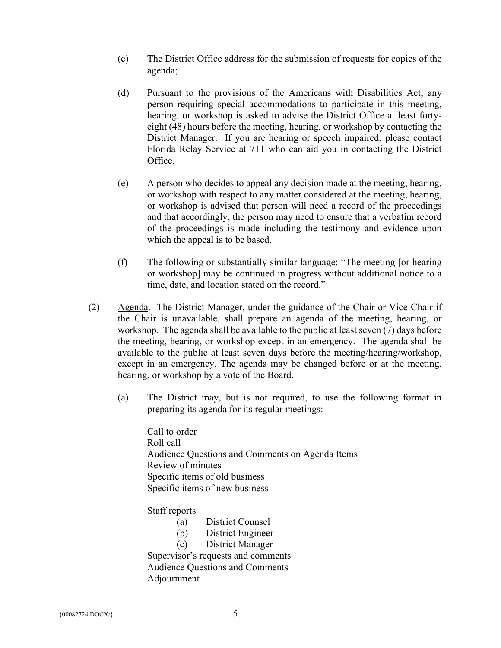- (c) The District Office address for the submission of requests for copies of the agenda;
- (d) Pursuant to the provisions of the Americans with Disabilities Act, any person requiring special accommodations to participate in this meeting, hearing, or workshop is asked to advise the District Office at least fortyeight (48) hours before the meeting, hearing, or workshop by contacting the District Manager. If you are hearing or speech impaired, please contact Florida Relay Service at 711 who can aid you in contacting the District Office.
- (e) A person who decides to appeal any decision made at the meeting, hearing, or workshop with respect to any matter considered at the meeting, hearing, or workshop is advised that person will need a record of the proceedings and that accordingly, the person may need to ensure that a verbatim record of the proceedings is made including the testimony and evidence upon which the appeal is to be based.
- (f) The following or substantially similar language: "The meeting [or hearing or workshop] may be continued in progress without additional notice to a time, date, and location stated on the record."
- (2) Agenda. The District Manager, under the guidance of the Chair or Vice-Chair if the Chair is unavailable, shall prepare an agenda of the meeting, hearing, or workshop. The agenda shall be available to the public at least seven (7) days before the meeting, hearing, or workshop except in an emergency. The agenda shall be available to the public at least seven days before the meeting/hearing/workshop, except in an emergency. The agenda may be changed before or at the meeting, hearing, or workshop by a vote of the Board.
	- (a) The District may, but is not required, to use the following format in preparing its agenda for its regular meetings:

Call to order Roll call Audience Questions and Comments on Agenda Items Review of minutes Specific items of old business Specific items of new business

Staff reports

- (a) District Counsel
- (b) District Engineer
- (c) District Manager

Supervisor's requests and comments Audience Questions and Comments Adjournment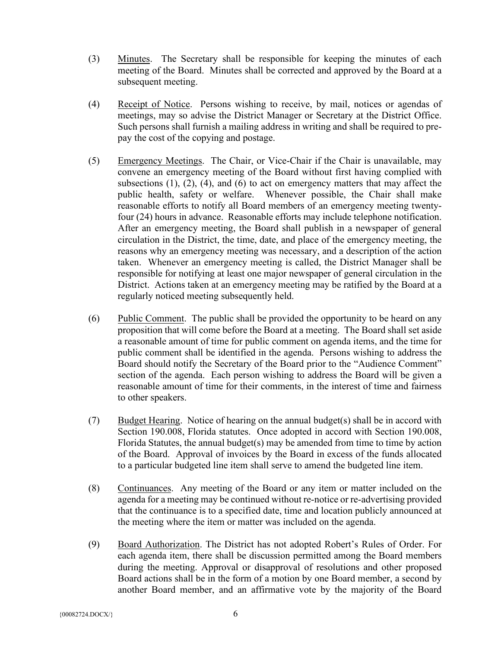- (3) Minutes. The Secretary shall be responsible for keeping the minutes of each meeting of the Board. Minutes shall be corrected and approved by the Board at a subsequent meeting.
- (4) Receipt of Notice. Persons wishing to receive, by mail, notices or agendas of meetings, may so advise the District Manager or Secretary at the District Office. Such persons shall furnish a mailing address in writing and shall be required to prepay the cost of the copying and postage.
- (5) Emergency Meetings. The Chair, or Vice-Chair if the Chair is unavailable, may convene an emergency meeting of the Board without first having complied with subsections  $(1)$ ,  $(2)$ ,  $(4)$ , and  $(6)$  to act on emergency matters that may affect the public health, safety or welfare. Whenever possible, the Chair shall make reasonable efforts to notify all Board members of an emergency meeting twentyfour (24) hours in advance. Reasonable efforts may include telephone notification. After an emergency meeting, the Board shall publish in a newspaper of general circulation in the District, the time, date, and place of the emergency meeting, the reasons why an emergency meeting was necessary, and a description of the action taken. Whenever an emergency meeting is called, the District Manager shall be responsible for notifying at least one major newspaper of general circulation in the District. Actions taken at an emergency meeting may be ratified by the Board at a regularly noticed meeting subsequently held.
- (6) Public Comment. The public shall be provided the opportunity to be heard on any proposition that will come before the Board at a meeting. The Board shall set aside a reasonable amount of time for public comment on agenda items, and the time for public comment shall be identified in the agenda. Persons wishing to address the Board should notify the Secretary of the Board prior to the "Audience Comment" section of the agenda. Each person wishing to address the Board will be given a reasonable amount of time for their comments, in the interest of time and fairness to other speakers.
- (7) Budget Hearing. Notice of hearing on the annual budget(s) shall be in accord with Section 190.008, Florida statutes. Once adopted in accord with Section 190.008, Florida Statutes, the annual budget(s) may be amended from time to time by action of the Board. Approval of invoices by the Board in excess of the funds allocated to a particular budgeted line item shall serve to amend the budgeted line item.
- (8) Continuances. Any meeting of the Board or any item or matter included on the agenda for a meeting may be continued without re-notice or re-advertising provided that the continuance is to a specified date, time and location publicly announced at the meeting where the item or matter was included on the agenda.
- (9) Board Authorization. The District has not adopted Robert's Rules of Order. For each agenda item, there shall be discussion permitted among the Board members during the meeting. Approval or disapproval of resolutions and other proposed Board actions shall be in the form of a motion by one Board member, a second by another Board member, and an affirmative vote by the majority of the Board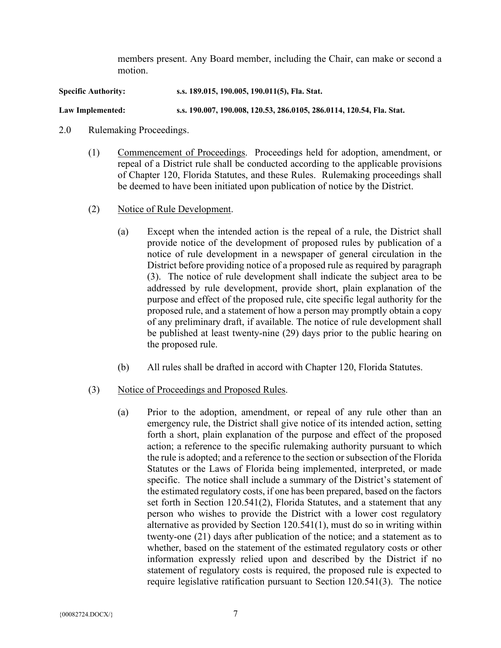members present. Any Board member, including the Chair, can make or second a motion.

**Specific Authority: s.s. 189.015, 190.005, 190.011(5), Fla. Stat.**

**Law Implemented: s.s. 190.007, 190.008, 120.53, 286.0105, 286.0114, 120.54, Fla. Stat.**

- 2.0 Rulemaking Proceedings.
	- (1) Commencement of Proceedings. Proceedings held for adoption, amendment, or repeal of a District rule shall be conducted according to the applicable provisions of Chapter 120, Florida Statutes, and these Rules. Rulemaking proceedings shall be deemed to have been initiated upon publication of notice by the District.
	- (2) Notice of Rule Development.
		- (a) Except when the intended action is the repeal of a rule, the District shall provide notice of the development of proposed rules by publication of a notice of rule development in a newspaper of general circulation in the District before providing notice of a proposed rule as required by paragraph (3). The notice of rule development shall indicate the subject area to be addressed by rule development, provide short, plain explanation of the purpose and effect of the proposed rule, cite specific legal authority for the proposed rule, and a statement of how a person may promptly obtain a copy of any preliminary draft, if available. The notice of rule development shall be published at least twenty-nine (29) days prior to the public hearing on the proposed rule.
		- (b) All rules shall be drafted in accord with Chapter 120, Florida Statutes.

### (3) Notice of Proceedings and Proposed Rules.

(a) Prior to the adoption, amendment, or repeal of any rule other than an emergency rule, the District shall give notice of its intended action, setting forth a short, plain explanation of the purpose and effect of the proposed action; a reference to the specific rulemaking authority pursuant to which the rule is adopted; and a reference to the section or subsection of the Florida Statutes or the Laws of Florida being implemented, interpreted, or made specific. The notice shall include a summary of the District's statement of the estimated regulatory costs, if one has been prepared, based on the factors set forth in Section 120.541(2), Florida Statutes, and a statement that any person who wishes to provide the District with a lower cost regulatory alternative as provided by Section 120.541(1), must do so in writing within twenty-one (21) days after publication of the notice; and a statement as to whether, based on the statement of the estimated regulatory costs or other information expressly relied upon and described by the District if no statement of regulatory costs is required, the proposed rule is expected to require legislative ratification pursuant to Section 120.541(3). The notice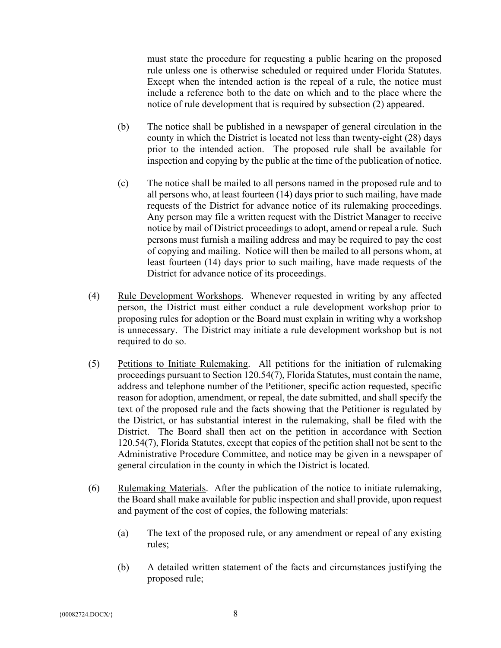must state the procedure for requesting a public hearing on the proposed rule unless one is otherwise scheduled or required under Florida Statutes. Except when the intended action is the repeal of a rule, the notice must include a reference both to the date on which and to the place where the notice of rule development that is required by subsection (2) appeared.

- (b) The notice shall be published in a newspaper of general circulation in the county in which the District is located not less than twenty-eight (28) days prior to the intended action. The proposed rule shall be available for inspection and copying by the public at the time of the publication of notice.
- (c) The notice shall be mailed to all persons named in the proposed rule and to all persons who, at least fourteen (14) days prior to such mailing, have made requests of the District for advance notice of its rulemaking proceedings. Any person may file a written request with the District Manager to receive notice by mail of District proceedings to adopt, amend or repeal a rule. Such persons must furnish a mailing address and may be required to pay the cost of copying and mailing. Notice will then be mailed to all persons whom, at least fourteen (14) days prior to such mailing, have made requests of the District for advance notice of its proceedings.
- (4) Rule Development Workshops. Whenever requested in writing by any affected person, the District must either conduct a rule development workshop prior to proposing rules for adoption or the Board must explain in writing why a workshop is unnecessary. The District may initiate a rule development workshop but is not required to do so.
- (5) Petitions to Initiate Rulemaking. All petitions for the initiation of rulemaking proceedings pursuant to Section 120.54(7), Florida Statutes, must contain the name, address and telephone number of the Petitioner, specific action requested, specific reason for adoption, amendment, or repeal, the date submitted, and shall specify the text of the proposed rule and the facts showing that the Petitioner is regulated by the District, or has substantial interest in the rulemaking, shall be filed with the District. The Board shall then act on the petition in accordance with Section 120.54(7), Florida Statutes, except that copies of the petition shall not be sent to the Administrative Procedure Committee, and notice may be given in a newspaper of general circulation in the county in which the District is located.
- (6) Rulemaking Materials. After the publication of the notice to initiate rulemaking, the Board shall make available for public inspection and shall provide, upon request and payment of the cost of copies, the following materials:
	- (a) The text of the proposed rule, or any amendment or repeal of any existing rules;
	- (b) A detailed written statement of the facts and circumstances justifying the proposed rule;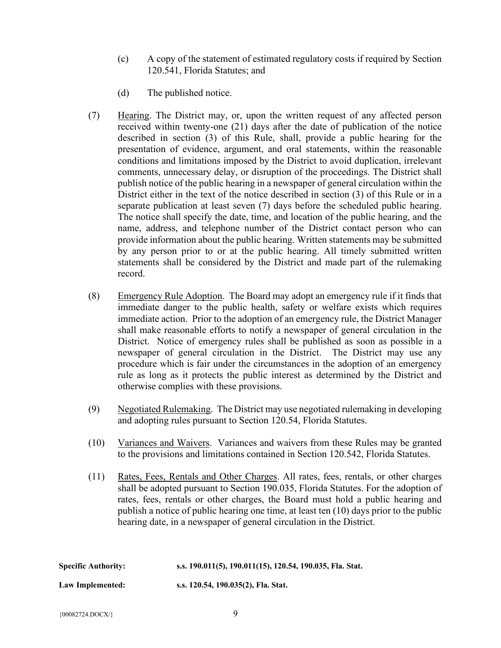- (c) A copy of the statement of estimated regulatory costs if required by Section 120.541, Florida Statutes; and
- (d) The published notice.
- (7) Hearing. The District may, or, upon the written request of any affected person received within twenty-one (21) days after the date of publication of the notice described in section (3) of this Rule, shall, provide a public hearing for the presentation of evidence, argument, and oral statements, within the reasonable conditions and limitations imposed by the District to avoid duplication, irrelevant comments, unnecessary delay, or disruption of the proceedings. The District shall publish notice of the public hearing in a newspaper of general circulation within the District either in the text of the notice described in section (3) of this Rule or in a separate publication at least seven (7) days before the scheduled public hearing. The notice shall specify the date, time, and location of the public hearing, and the name, address, and telephone number of the District contact person who can provide information about the public hearing. Written statements may be submitted by any person prior to or at the public hearing. All timely submitted written statements shall be considered by the District and made part of the rulemaking record.
- (8) Emergency Rule Adoption. The Board may adopt an emergency rule if it finds that immediate danger to the public health, safety or welfare exists which requires immediate action. Prior to the adoption of an emergency rule, the District Manager shall make reasonable efforts to notify a newspaper of general circulation in the District. Notice of emergency rules shall be published as soon as possible in a newspaper of general circulation in the District. The District may use any procedure which is fair under the circumstances in the adoption of an emergency rule as long as it protects the public interest as determined by the District and otherwise complies with these provisions.
- (9) Negotiated Rulemaking. The District may use negotiated rulemaking in developing and adopting rules pursuant to Section 120.54, Florida Statutes.
- (10) Variances and Waivers. Variances and waivers from these Rules may be granted to the provisions and limitations contained in Section 120.542, Florida Statutes.
- (11) Rates, Fees, Rentals and Other Charges. All rates, fees, rentals, or other charges shall be adopted pursuant to Section 190.035, Florida Statutes. For the adoption of rates, fees, rentals or other charges, the Board must hold a public hearing and publish a notice of public hearing one time, at least ten (10) days prior to the public hearing date, in a newspaper of general circulation in the District.

| Specific Authority:     | s.s. 190.011(5), 190.011(15), 120.54, 190.035, Fla. Stat. |
|-------------------------|-----------------------------------------------------------|
| <b>Law Implemented:</b> | s.s. 120.54, 190.035(2), Fla. Stat.                       |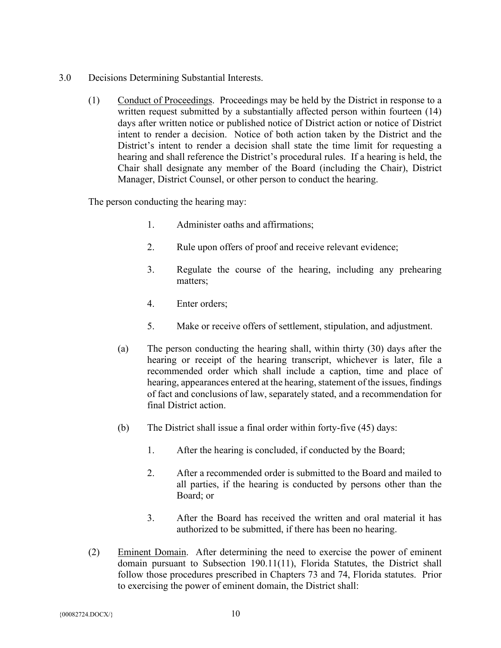- 3.0 Decisions Determining Substantial Interests.
	- (1) Conduct of Proceedings. Proceedings may be held by the District in response to a written request submitted by a substantially affected person within fourteen (14) days after written notice or published notice of District action or notice of District intent to render a decision. Notice of both action taken by the District and the District's intent to render a decision shall state the time limit for requesting a hearing and shall reference the District's procedural rules. If a hearing is held, the Chair shall designate any member of the Board (including the Chair), District Manager, District Counsel, or other person to conduct the hearing.

The person conducting the hearing may:

- 1. Administer oaths and affirmations;
- 2. Rule upon offers of proof and receive relevant evidence;
- 3. Regulate the course of the hearing, including any prehearing matters;
- 4. Enter orders;
- 5. Make or receive offers of settlement, stipulation, and adjustment.
- (a) The person conducting the hearing shall, within thirty (30) days after the hearing or receipt of the hearing transcript, whichever is later, file a recommended order which shall include a caption, time and place of hearing, appearances entered at the hearing, statement of the issues, findings of fact and conclusions of law, separately stated, and a recommendation for final District action.
- (b) The District shall issue a final order within forty-five (45) days:
	- 1. After the hearing is concluded, if conducted by the Board;
	- 2. After a recommended order is submitted to the Board and mailed to all parties, if the hearing is conducted by persons other than the Board; or
	- 3. After the Board has received the written and oral material it has authorized to be submitted, if there has been no hearing.
- (2) Eminent Domain. After determining the need to exercise the power of eminent domain pursuant to Subsection 190.11(11), Florida Statutes, the District shall follow those procedures prescribed in Chapters 73 and 74, Florida statutes. Prior to exercising the power of eminent domain, the District shall: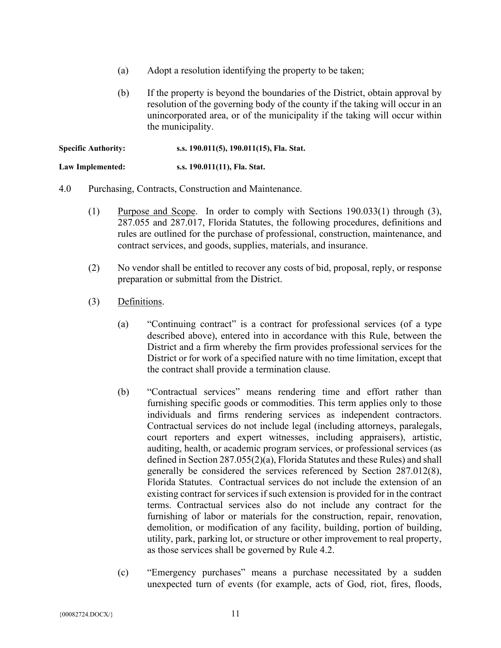- (a) Adopt a resolution identifying the property to be taken;
- (b) If the property is beyond the boundaries of the District, obtain approval by resolution of the governing body of the county if the taking will occur in an unincorporated area, or of the municipality if the taking will occur within the municipality.

**Specific Authority: s.s. 190.011(5), 190.011(15), Fla. Stat.**

**Law Implemented: s.s. 190.011(11), Fla. Stat.**

- 4.0 Purchasing, Contracts, Construction and Maintenance.
	- (1) Purpose and Scope. In order to comply with Sections 190.033(1) through (3), 287.055 and 287.017, Florida Statutes, the following procedures, definitions and rules are outlined for the purchase of professional, construction, maintenance, and contract services, and goods, supplies, materials, and insurance.
	- (2) No vendor shall be entitled to recover any costs of bid, proposal, reply, or response preparation or submittal from the District.
	- (3) Definitions.
		- (a) "Continuing contract" is a contract for professional services (of a type described above), entered into in accordance with this Rule, between the District and a firm whereby the firm provides professional services for the District or for work of a specified nature with no time limitation, except that the contract shall provide a termination clause.
		- (b) "Contractual services" means rendering time and effort rather than furnishing specific goods or commodities. This term applies only to those individuals and firms rendering services as independent contractors. Contractual services do not include legal (including attorneys, paralegals, court reporters and expert witnesses, including appraisers), artistic, auditing, health, or academic program services, or professional services (as defined in Section 287.055(2)(a), Florida Statutes and these Rules) and shall generally be considered the services referenced by Section 287.012(8), Florida Statutes. Contractual services do not include the extension of an existing contract for services if such extension is provided for in the contract terms. Contractual services also do not include any contract for the furnishing of labor or materials for the construction, repair, renovation, demolition, or modification of any facility, building, portion of building, utility, park, parking lot, or structure or other improvement to real property, as those services shall be governed by Rule 4.2.
		- (c) "Emergency purchases" means a purchase necessitated by a sudden unexpected turn of events (for example, acts of God, riot, fires, floods,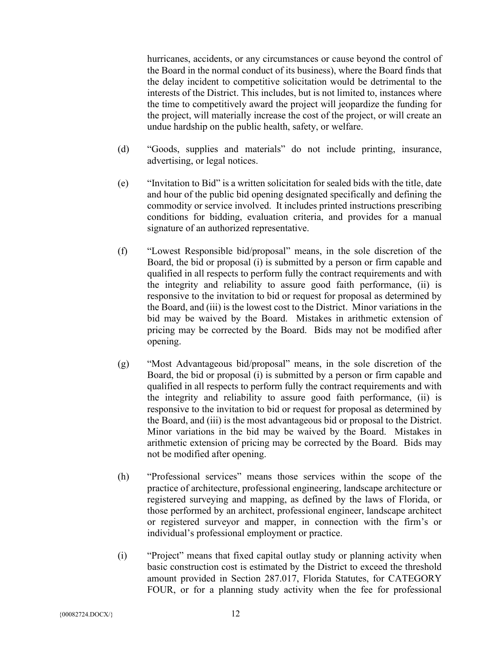hurricanes, accidents, or any circumstances or cause beyond the control of the Board in the normal conduct of its business), where the Board finds that the delay incident to competitive solicitation would be detrimental to the interests of the District. This includes, but is not limited to, instances where the time to competitively award the project will jeopardize the funding for the project, will materially increase the cost of the project, or will create an undue hardship on the public health, safety, or welfare.

- (d) "Goods, supplies and materials" do not include printing, insurance, advertising, or legal notices.
- (e) "Invitation to Bid" is a written solicitation for sealed bids with the title, date and hour of the public bid opening designated specifically and defining the commodity or service involved. It includes printed instructions prescribing conditions for bidding, evaluation criteria, and provides for a manual signature of an authorized representative.
- (f) "Lowest Responsible bid/proposal" means, in the sole discretion of the Board, the bid or proposal (i) is submitted by a person or firm capable and qualified in all respects to perform fully the contract requirements and with the integrity and reliability to assure good faith performance, (ii) is responsive to the invitation to bid or request for proposal as determined by the Board, and (iii) is the lowest cost to the District. Minor variations in the bid may be waived by the Board. Mistakes in arithmetic extension of pricing may be corrected by the Board. Bids may not be modified after opening.
- (g) "Most Advantageous bid/proposal" means, in the sole discretion of the Board, the bid or proposal (i) is submitted by a person or firm capable and qualified in all respects to perform fully the contract requirements and with the integrity and reliability to assure good faith performance, (ii) is responsive to the invitation to bid or request for proposal as determined by the Board, and (iii) is the most advantageous bid or proposal to the District. Minor variations in the bid may be waived by the Board. Mistakes in arithmetic extension of pricing may be corrected by the Board. Bids may not be modified after opening.
- (h) "Professional services" means those services within the scope of the practice of architecture, professional engineering, landscape architecture or registered surveying and mapping, as defined by the laws of Florida, or those performed by an architect, professional engineer, landscape architect or registered surveyor and mapper, in connection with the firm's or individual's professional employment or practice.
- (i) "Project" means that fixed capital outlay study or planning activity when basic construction cost is estimated by the District to exceed the threshold amount provided in Section 287.017, Florida Statutes, for CATEGORY FOUR, or for a planning study activity when the fee for professional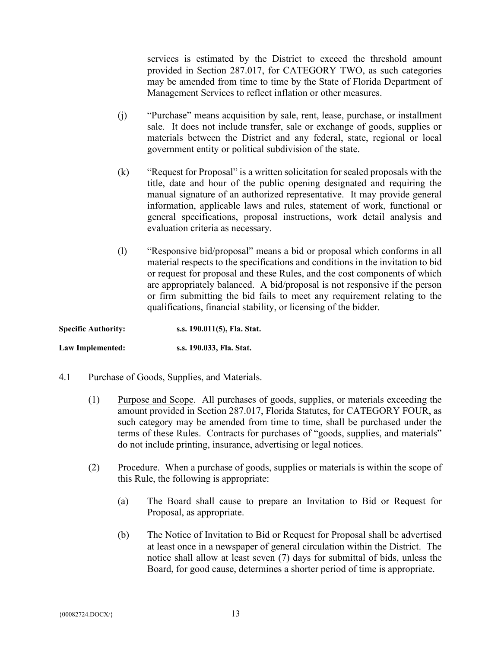services is estimated by the District to exceed the threshold amount provided in Section 287.017, for CATEGORY TWO, as such categories may be amended from time to time by the State of Florida Department of Management Services to reflect inflation or other measures.

- (j) "Purchase" means acquisition by sale, rent, lease, purchase, or installment sale. It does not include transfer, sale or exchange of goods, supplies or materials between the District and any federal, state, regional or local government entity or political subdivision of the state.
- (k) "Request for Proposal" is a written solicitation for sealed proposals with the title, date and hour of the public opening designated and requiring the manual signature of an authorized representative. It may provide general information, applicable laws and rules, statement of work, functional or general specifications, proposal instructions, work detail analysis and evaluation criteria as necessary.
- (l) "Responsive bid/proposal" means a bid or proposal which conforms in all material respects to the specifications and conditions in the invitation to bid or request for proposal and these Rules, and the cost components of which are appropriately balanced. A bid/proposal is not responsive if the person or firm submitting the bid fails to meet any requirement relating to the qualifications, financial stability, or licensing of the bidder.

| <b>Specific Authority:</b> | s.s. 190.011(5), Fla. Stat. |
|----------------------------|-----------------------------|
| Law Implemented:           | s.s. 190.033, Fla. Stat.    |

- 4.1 Purchase of Goods, Supplies, and Materials.
	- (1) Purpose and Scope. All purchases of goods, supplies, or materials exceeding the amount provided in Section 287.017, Florida Statutes, for CATEGORY FOUR, as such category may be amended from time to time, shall be purchased under the terms of these Rules. Contracts for purchases of "goods, supplies, and materials" do not include printing, insurance, advertising or legal notices.
	- (2) Procedure. When a purchase of goods, supplies or materials is within the scope of this Rule, the following is appropriate:
		- (a) The Board shall cause to prepare an Invitation to Bid or Request for Proposal, as appropriate.
		- (b) The Notice of Invitation to Bid or Request for Proposal shall be advertised at least once in a newspaper of general circulation within the District. The notice shall allow at least seven (7) days for submittal of bids, unless the Board, for good cause, determines a shorter period of time is appropriate.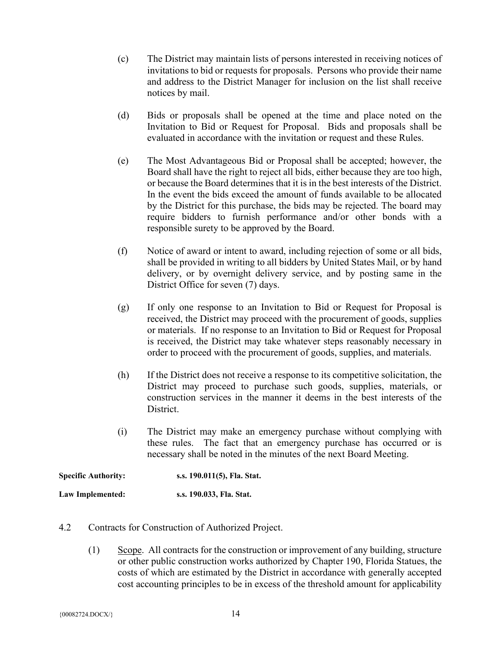- (c) The District may maintain lists of persons interested in receiving notices of invitations to bid or requests for proposals. Persons who provide their name and address to the District Manager for inclusion on the list shall receive notices by mail.
- (d) Bids or proposals shall be opened at the time and place noted on the Invitation to Bid or Request for Proposal. Bids and proposals shall be evaluated in accordance with the invitation or request and these Rules.
- (e) The Most Advantageous Bid or Proposal shall be accepted; however, the Board shall have the right to reject all bids, either because they are too high, or because the Board determines that it is in the best interests of the District. In the event the bids exceed the amount of funds available to be allocated by the District for this purchase, the bids may be rejected. The board may require bidders to furnish performance and/or other bonds with a responsible surety to be approved by the Board.
- (f) Notice of award or intent to award, including rejection of some or all bids, shall be provided in writing to all bidders by United States Mail, or by hand delivery, or by overnight delivery service, and by posting same in the District Office for seven (7) days.
- (g) If only one response to an Invitation to Bid or Request for Proposal is received, the District may proceed with the procurement of goods, supplies or materials. If no response to an Invitation to Bid or Request for Proposal is received, the District may take whatever steps reasonably necessary in order to proceed with the procurement of goods, supplies, and materials.
- (h) If the District does not receive a response to its competitive solicitation, the District may proceed to purchase such goods, supplies, materials, or construction services in the manner it deems in the best interests of the District.
- (i) The District may make an emergency purchase without complying with these rules. The fact that an emergency purchase has occurred or is necessary shall be noted in the minutes of the next Board Meeting.

| <b>Specific Authority:</b> | s.s. 190.011(5), Fla. Stat. |
|----------------------------|-----------------------------|
| Law Implemented:           | s.s. 190.033, Fla. Stat.    |

- 4.2 Contracts for Construction of Authorized Project.
	- (1) Scope. All contracts for the construction or improvement of any building, structure or other public construction works authorized by Chapter 190, Florida Statues, the costs of which are estimated by the District in accordance with generally accepted cost accounting principles to be in excess of the threshold amount for applicability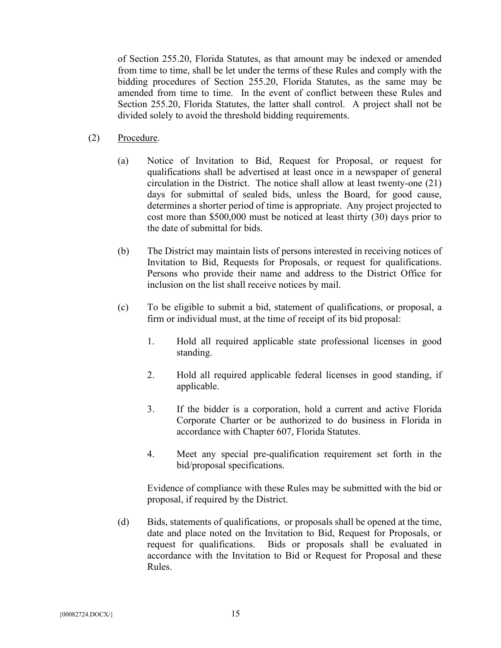of Section 255.20, Florida Statutes, as that amount may be indexed or amended from time to time, shall be let under the terms of these Rules and comply with the bidding procedures of Section 255.20, Florida Statutes, as the same may be amended from time to time. In the event of conflict between these Rules and Section 255.20, Florida Statutes, the latter shall control. A project shall not be divided solely to avoid the threshold bidding requirements.

- (2) Procedure.
	- (a) Notice of Invitation to Bid, Request for Proposal, or request for qualifications shall be advertised at least once in a newspaper of general circulation in the District. The notice shall allow at least twenty-one (21) days for submittal of sealed bids, unless the Board, for good cause, determines a shorter period of time is appropriate. Any project projected to cost more than \$500,000 must be noticed at least thirty (30) days prior to the date of submittal for bids.
	- (b) The District may maintain lists of persons interested in receiving notices of Invitation to Bid, Requests for Proposals, or request for qualifications. Persons who provide their name and address to the District Office for inclusion on the list shall receive notices by mail.
	- (c) To be eligible to submit a bid, statement of qualifications, or proposal, a firm or individual must, at the time of receipt of its bid proposal:
		- 1. Hold all required applicable state professional licenses in good standing.
		- 2. Hold all required applicable federal licenses in good standing, if applicable.
		- 3. If the bidder is a corporation, hold a current and active Florida Corporate Charter or be authorized to do business in Florida in accordance with Chapter 607, Florida Statutes.
		- 4. Meet any special pre-qualification requirement set forth in the bid/proposal specifications.

Evidence of compliance with these Rules may be submitted with the bid or proposal, if required by the District.

(d) Bids, statements of qualifications, or proposals shall be opened at the time, date and place noted on the Invitation to Bid, Request for Proposals, or request for qualifications. Bids or proposals shall be evaluated in accordance with the Invitation to Bid or Request for Proposal and these Rules.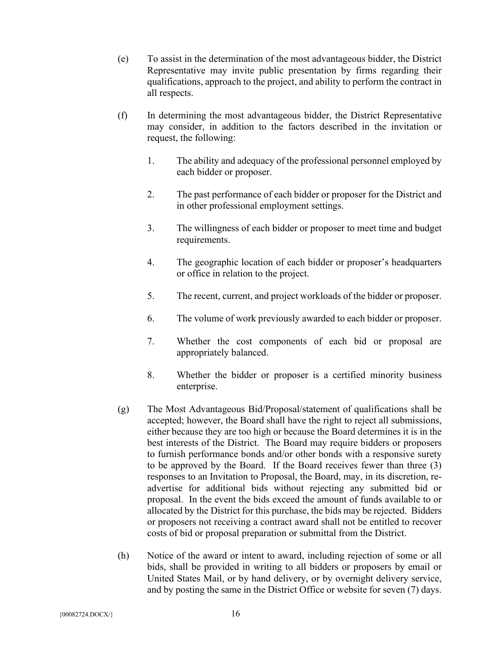- (e) To assist in the determination of the most advantageous bidder, the District Representative may invite public presentation by firms regarding their qualifications, approach to the project, and ability to perform the contract in all respects.
- (f) In determining the most advantageous bidder, the District Representative may consider, in addition to the factors described in the invitation or request, the following:
	- 1. The ability and adequacy of the professional personnel employed by each bidder or proposer.
	- 2. The past performance of each bidder or proposer for the District and in other professional employment settings.
	- 3. The willingness of each bidder or proposer to meet time and budget requirements.
	- 4. The geographic location of each bidder or proposer's headquarters or office in relation to the project.
	- 5. The recent, current, and project workloads of the bidder or proposer.
	- 6. The volume of work previously awarded to each bidder or proposer.
	- 7. Whether the cost components of each bid or proposal are appropriately balanced.
	- 8. Whether the bidder or proposer is a certified minority business enterprise.
- (g) The Most Advantageous Bid/Proposal/statement of qualifications shall be accepted; however, the Board shall have the right to reject all submissions, either because they are too high or because the Board determines it is in the best interests of the District. The Board may require bidders or proposers to furnish performance bonds and/or other bonds with a responsive surety to be approved by the Board. If the Board receives fewer than three (3) responses to an Invitation to Proposal, the Board, may, in its discretion, readvertise for additional bids without rejecting any submitted bid or proposal. In the event the bids exceed the amount of funds available to or allocated by the District for this purchase, the bids may be rejected. Bidders or proposers not receiving a contract award shall not be entitled to recover costs of bid or proposal preparation or submittal from the District.
- (h) Notice of the award or intent to award, including rejection of some or all bids, shall be provided in writing to all bidders or proposers by email or United States Mail, or by hand delivery, or by overnight delivery service, and by posting the same in the District Office or website for seven (7) days.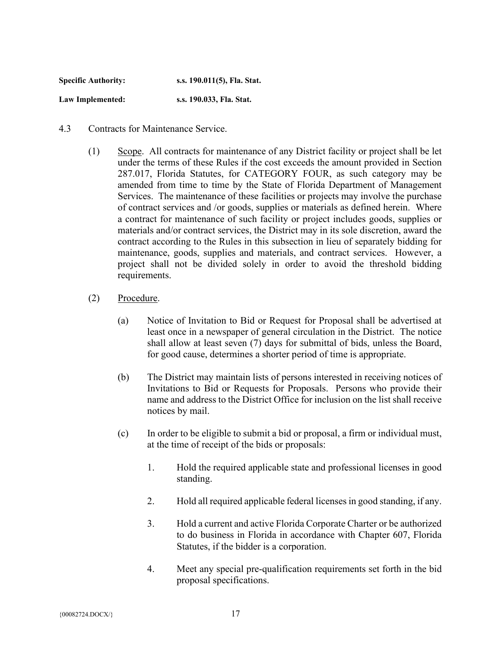| <b>Specific Authority:</b> | s.s. 190.011(5), Fla. Stat. |
|----------------------------|-----------------------------|
| Law Implemented:           | s.s. 190.033, Fla. Stat.    |

- 4.3 Contracts for Maintenance Service.
	- (1) Scope. All contracts for maintenance of any District facility or project shall be let under the terms of these Rules if the cost exceeds the amount provided in Section 287.017, Florida Statutes, for CATEGORY FOUR, as such category may be amended from time to time by the State of Florida Department of Management Services. The maintenance of these facilities or projects may involve the purchase of contract services and /or goods, supplies or materials as defined herein. Where a contract for maintenance of such facility or project includes goods, supplies or materials and/or contract services, the District may in its sole discretion, award the contract according to the Rules in this subsection in lieu of separately bidding for maintenance, goods, supplies and materials, and contract services. However, a project shall not be divided solely in order to avoid the threshold bidding requirements.
	- (2) Procedure.
		- (a) Notice of Invitation to Bid or Request for Proposal shall be advertised at least once in a newspaper of general circulation in the District. The notice shall allow at least seven (7) days for submittal of bids, unless the Board, for good cause, determines a shorter period of time is appropriate.
		- (b) The District may maintain lists of persons interested in receiving notices of Invitations to Bid or Requests for Proposals. Persons who provide their name and address to the District Office for inclusion on the list shall receive notices by mail.
		- (c) In order to be eligible to submit a bid or proposal, a firm or individual must, at the time of receipt of the bids or proposals:
			- 1. Hold the required applicable state and professional licenses in good standing.
			- 2. Hold all required applicable federal licenses in good standing, if any.
			- 3. Hold a current and active Florida Corporate Charter or be authorized to do business in Florida in accordance with Chapter 607, Florida Statutes, if the bidder is a corporation.
			- 4. Meet any special pre-qualification requirements set forth in the bid proposal specifications.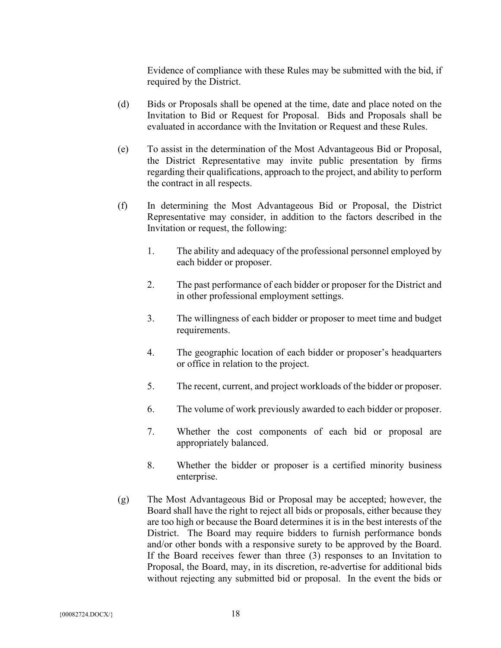Evidence of compliance with these Rules may be submitted with the bid, if required by the District.

- (d) Bids or Proposals shall be opened at the time, date and place noted on the Invitation to Bid or Request for Proposal. Bids and Proposals shall be evaluated in accordance with the Invitation or Request and these Rules.
- (e) To assist in the determination of the Most Advantageous Bid or Proposal, the District Representative may invite public presentation by firms regarding their qualifications, approach to the project, and ability to perform the contract in all respects.
- (f) In determining the Most Advantageous Bid or Proposal, the District Representative may consider, in addition to the factors described in the Invitation or request, the following:
	- 1. The ability and adequacy of the professional personnel employed by each bidder or proposer.
	- 2. The past performance of each bidder or proposer for the District and in other professional employment settings.
	- 3. The willingness of each bidder or proposer to meet time and budget requirements.
	- 4. The geographic location of each bidder or proposer's headquarters or office in relation to the project.
	- 5. The recent, current, and project workloads of the bidder or proposer.
	- 6. The volume of work previously awarded to each bidder or proposer.
	- 7. Whether the cost components of each bid or proposal are appropriately balanced.
	- 8. Whether the bidder or proposer is a certified minority business enterprise.
- (g) The Most Advantageous Bid or Proposal may be accepted; however, the Board shall have the right to reject all bids or proposals, either because they are too high or because the Board determines it is in the best interests of the District. The Board may require bidders to furnish performance bonds and/or other bonds with a responsive surety to be approved by the Board. If the Board receives fewer than three (3) responses to an Invitation to Proposal, the Board, may, in its discretion, re-advertise for additional bids without rejecting any submitted bid or proposal. In the event the bids or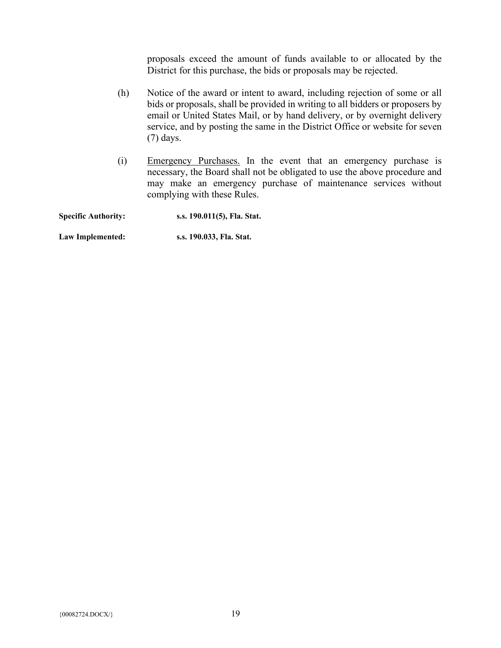proposals exceed the amount of funds available to or allocated by the District for this purchase, the bids or proposals may be rejected.

- (h) Notice of the award or intent to award, including rejection of some or all bids or proposals, shall be provided in writing to all bidders or proposers by email or United States Mail, or by hand delivery, or by overnight delivery service, and by posting the same in the District Office or website for seven (7) days.
- (i) Emergency Purchases. In the event that an emergency purchase is necessary, the Board shall not be obligated to use the above procedure and may make an emergency purchase of maintenance services without complying with these Rules.

| <b>Specific Authority:</b> | s.s. 190.011(5), Fla. Stat. |
|----------------------------|-----------------------------|
| Law Implemented:           | s.s. 190.033, Fla. Stat.    |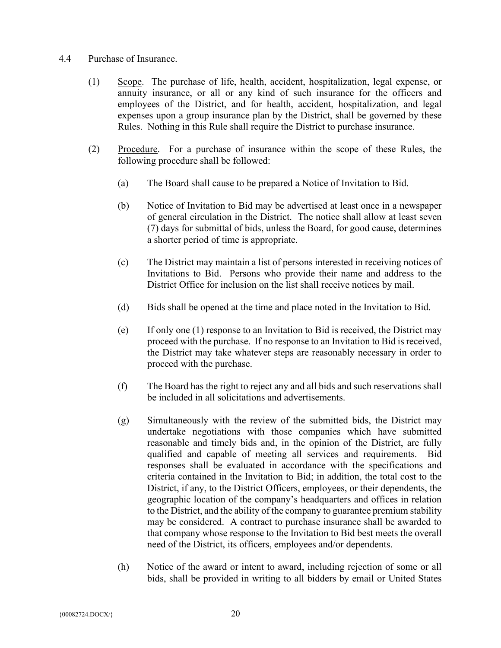#### 4.4 Purchase of Insurance.

- (1) Scope. The purchase of life, health, accident, hospitalization, legal expense, or annuity insurance, or all or any kind of such insurance for the officers and employees of the District, and for health, accident, hospitalization, and legal expenses upon a group insurance plan by the District, shall be governed by these Rules. Nothing in this Rule shall require the District to purchase insurance.
- (2) Procedure. For a purchase of insurance within the scope of these Rules, the following procedure shall be followed:
	- (a) The Board shall cause to be prepared a Notice of Invitation to Bid.
	- (b) Notice of Invitation to Bid may be advertised at least once in a newspaper of general circulation in the District. The notice shall allow at least seven (7) days for submittal of bids, unless the Board, for good cause, determines a shorter period of time is appropriate.
	- (c) The District may maintain a list of persons interested in receiving notices of Invitations to Bid. Persons who provide their name and address to the District Office for inclusion on the list shall receive notices by mail.
	- (d) Bids shall be opened at the time and place noted in the Invitation to Bid.
	- (e) If only one (1) response to an Invitation to Bid is received, the District may proceed with the purchase. If no response to an Invitation to Bid is received, the District may take whatever steps are reasonably necessary in order to proceed with the purchase.
	- (f) The Board has the right to reject any and all bids and such reservations shall be included in all solicitations and advertisements.
	- (g) Simultaneously with the review of the submitted bids, the District may undertake negotiations with those companies which have submitted reasonable and timely bids and, in the opinion of the District, are fully qualified and capable of meeting all services and requirements. Bid responses shall be evaluated in accordance with the specifications and criteria contained in the Invitation to Bid; in addition, the total cost to the District, if any, to the District Officers, employees, or their dependents, the geographic location of the company's headquarters and offices in relation to the District, and the ability of the company to guarantee premium stability may be considered. A contract to purchase insurance shall be awarded to that company whose response to the Invitation to Bid best meets the overall need of the District, its officers, employees and/or dependents.
	- (h) Notice of the award or intent to award, including rejection of some or all bids, shall be provided in writing to all bidders by email or United States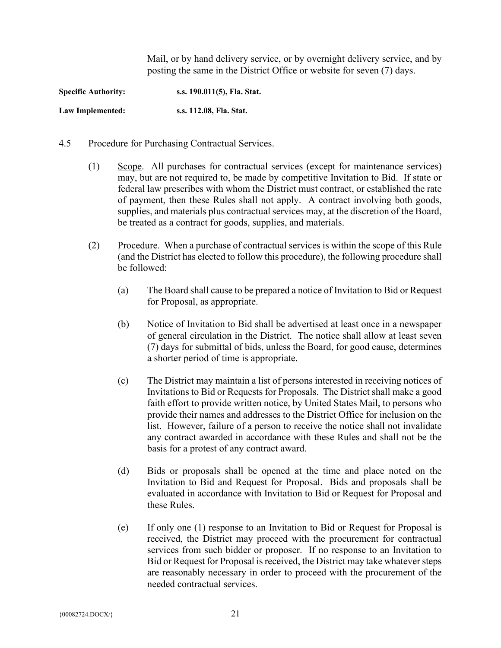Mail, or by hand delivery service, or by overnight delivery service, and by posting the same in the District Office or website for seven (7) days.

**Specific Authority: s.s. 190.011(5), Fla. Stat. Law Implemented: s.s. 112.08, Fla. Stat.**

- 4.5 Procedure for Purchasing Contractual Services.
	- (1) Scope. All purchases for contractual services (except for maintenance services) may, but are not required to, be made by competitive Invitation to Bid. If state or federal law prescribes with whom the District must contract, or established the rate of payment, then these Rules shall not apply. A contract involving both goods, supplies, and materials plus contractual services may, at the discretion of the Board, be treated as a contract for goods, supplies, and materials.
	- (2) Procedure. When a purchase of contractual services is within the scope of this Rule (and the District has elected to follow this procedure), the following procedure shall be followed:
		- (a) The Board shall cause to be prepared a notice of Invitation to Bid or Request for Proposal, as appropriate.
		- (b) Notice of Invitation to Bid shall be advertised at least once in a newspaper of general circulation in the District. The notice shall allow at least seven (7) days for submittal of bids, unless the Board, for good cause, determines a shorter period of time is appropriate.
		- (c) The District may maintain a list of persons interested in receiving notices of Invitations to Bid or Requests for Proposals. The District shall make a good faith effort to provide written notice, by United States Mail, to persons who provide their names and addresses to the District Office for inclusion on the list. However, failure of a person to receive the notice shall not invalidate any contract awarded in accordance with these Rules and shall not be the basis for a protest of any contract award.
		- (d) Bids or proposals shall be opened at the time and place noted on the Invitation to Bid and Request for Proposal. Bids and proposals shall be evaluated in accordance with Invitation to Bid or Request for Proposal and these Rules.
		- (e) If only one (1) response to an Invitation to Bid or Request for Proposal is received, the District may proceed with the procurement for contractual services from such bidder or proposer. If no response to an Invitation to Bid or Request for Proposal is received, the District may take whatever steps are reasonably necessary in order to proceed with the procurement of the needed contractual services.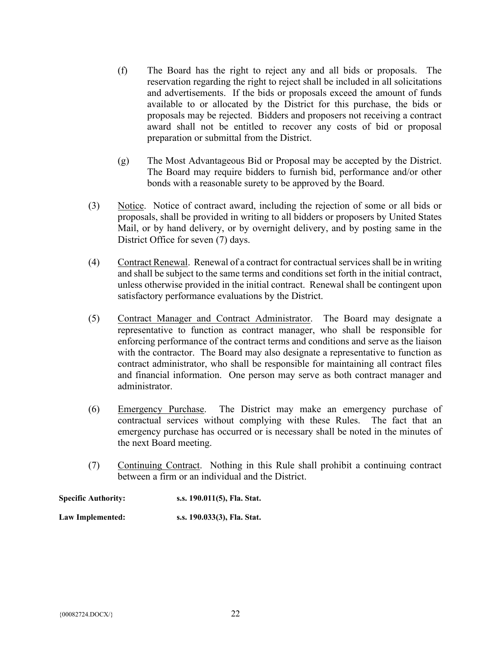- (f) The Board has the right to reject any and all bids or proposals. The reservation regarding the right to reject shall be included in all solicitations and advertisements. If the bids or proposals exceed the amount of funds available to or allocated by the District for this purchase, the bids or proposals may be rejected. Bidders and proposers not receiving a contract award shall not be entitled to recover any costs of bid or proposal preparation or submittal from the District.
- (g) The Most Advantageous Bid or Proposal may be accepted by the District. The Board may require bidders to furnish bid, performance and/or other bonds with a reasonable surety to be approved by the Board.
- (3) Notice. Notice of contract award, including the rejection of some or all bids or proposals, shall be provided in writing to all bidders or proposers by United States Mail, or by hand delivery, or by overnight delivery, and by posting same in the District Office for seven (7) days.
- (4) Contract Renewal. Renewal of a contract for contractual services shall be in writing and shall be subject to the same terms and conditions set forth in the initial contract, unless otherwise provided in the initial contract. Renewal shall be contingent upon satisfactory performance evaluations by the District.
- (5) Contract Manager and Contract Administrator. The Board may designate a representative to function as contract manager, who shall be responsible for enforcing performance of the contract terms and conditions and serve as the liaison with the contractor. The Board may also designate a representative to function as contract administrator, who shall be responsible for maintaining all contract files and financial information. One person may serve as both contract manager and administrator.
- (6) Emergency Purchase. The District may make an emergency purchase of contractual services without complying with these Rules. The fact that an emergency purchase has occurred or is necessary shall be noted in the minutes of the next Board meeting.
- (7) Continuing Contract. Nothing in this Rule shall prohibit a continuing contract between a firm or an individual and the District.

| <b>Specific Authority:</b> | s.s. 190.011(5), Fla. Stat. |
|----------------------------|-----------------------------|
| Law Implemented:           | s.s. 190.033(3), Fla. Stat. |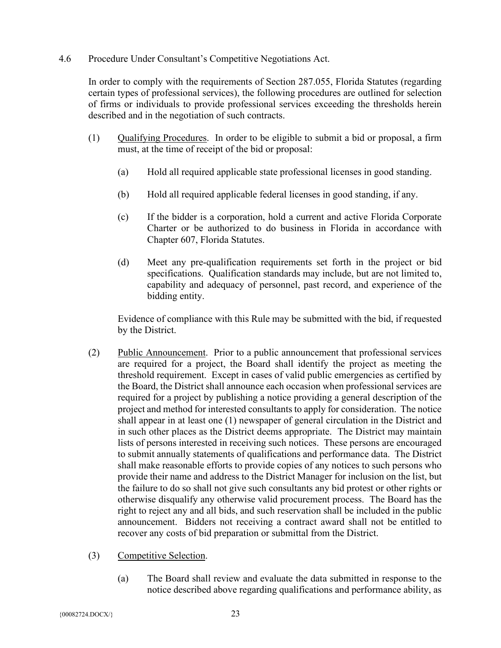4.6 Procedure Under Consultant's Competitive Negotiations Act.

In order to comply with the requirements of Section 287.055, Florida Statutes (regarding certain types of professional services), the following procedures are outlined for selection of firms or individuals to provide professional services exceeding the thresholds herein described and in the negotiation of such contracts.

- (1) Qualifying Procedures. In order to be eligible to submit a bid or proposal, a firm must, at the time of receipt of the bid or proposal:
	- (a) Hold all required applicable state professional licenses in good standing.
	- (b) Hold all required applicable federal licenses in good standing, if any.
	- (c) If the bidder is a corporation, hold a current and active Florida Corporate Charter or be authorized to do business in Florida in accordance with Chapter 607, Florida Statutes.
	- (d) Meet any pre-qualification requirements set forth in the project or bid specifications. Qualification standards may include, but are not limited to, capability and adequacy of personnel, past record, and experience of the bidding entity.

Evidence of compliance with this Rule may be submitted with the bid, if requested by the District.

- (2) Public Announcement. Prior to a public announcement that professional services are required for a project, the Board shall identify the project as meeting the threshold requirement. Except in cases of valid public emergencies as certified by the Board, the District shall announce each occasion when professional services are required for a project by publishing a notice providing a general description of the project and method for interested consultants to apply for consideration. The notice shall appear in at least one (1) newspaper of general circulation in the District and in such other places as the District deems appropriate. The District may maintain lists of persons interested in receiving such notices. These persons are encouraged to submit annually statements of qualifications and performance data. The District shall make reasonable efforts to provide copies of any notices to such persons who provide their name and address to the District Manager for inclusion on the list, but the failure to do so shall not give such consultants any bid protest or other rights or otherwise disqualify any otherwise valid procurement process. The Board has the right to reject any and all bids, and such reservation shall be included in the public announcement. Bidders not receiving a contract award shall not be entitled to recover any costs of bid preparation or submittal from the District.
- (3) Competitive Selection.
	- (a) The Board shall review and evaluate the data submitted in response to the notice described above regarding qualifications and performance ability, as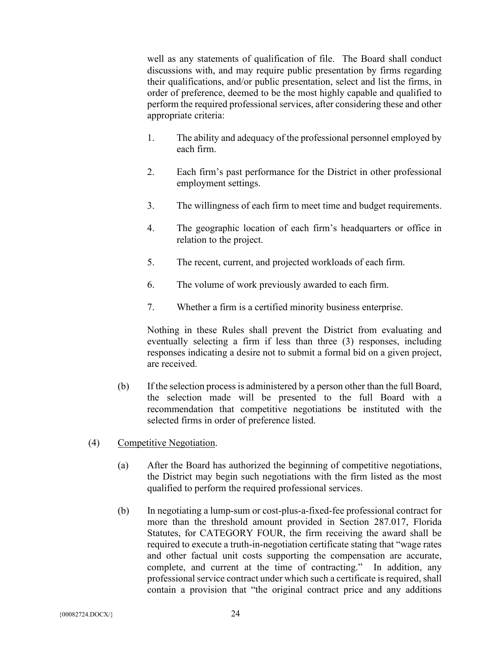well as any statements of qualification of file. The Board shall conduct discussions with, and may require public presentation by firms regarding their qualifications, and/or public presentation, select and list the firms, in order of preference, deemed to be the most highly capable and qualified to perform the required professional services, after considering these and other appropriate criteria:

- 1. The ability and adequacy of the professional personnel employed by each firm.
- 2. Each firm's past performance for the District in other professional employment settings.
- 3. The willingness of each firm to meet time and budget requirements.
- 4. The geographic location of each firm's headquarters or office in relation to the project.
- 5. The recent, current, and projected workloads of each firm.
- 6. The volume of work previously awarded to each firm.
- 7. Whether a firm is a certified minority business enterprise.

Nothing in these Rules shall prevent the District from evaluating and eventually selecting a firm if less than three (3) responses, including responses indicating a desire not to submit a formal bid on a given project, are received.

- (b) If the selection process is administered by a person other than the full Board, the selection made will be presented to the full Board with a recommendation that competitive negotiations be instituted with the selected firms in order of preference listed.
- (4) Competitive Negotiation.
	- (a) After the Board has authorized the beginning of competitive negotiations, the District may begin such negotiations with the firm listed as the most qualified to perform the required professional services.
	- (b) In negotiating a lump-sum or cost-plus-a-fixed-fee professional contract for more than the threshold amount provided in Section 287.017, Florida Statutes, for CATEGORY FOUR, the firm receiving the award shall be required to execute a truth-in-negotiation certificate stating that "wage rates and other factual unit costs supporting the compensation are accurate, complete, and current at the time of contracting." In addition, any professional service contract under which such a certificate is required, shall contain a provision that "the original contract price and any additions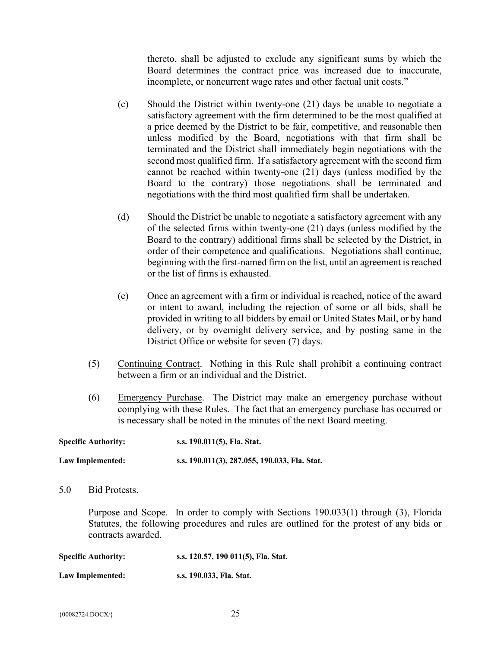thereto, shall be adjusted to exclude any significant sums by which the Board determines the contract price was increased due to inaccurate, incomplete, or noncurrent wage rates and other factual unit costs."

- (c) Should the District within twenty-one (21) days be unable to negotiate a satisfactory agreement with the firm determined to be the most qualified at a price deemed by the District to be fair, competitive, and reasonable then unless modified by the Board, negotiations with that firm shall be terminated and the District shall immediately begin negotiations with the second most qualified firm. If a satisfactory agreement with the second firm cannot be reached within twenty-one (21) days (unless modified by the Board to the contrary) those negotiations shall be terminated and negotiations with the third most qualified firm shall be undertaken.
- (d) Should the District be unable to negotiate a satisfactory agreement with any of the selected firms within twenty-one (21) days (unless modified by the Board to the contrary) additional firms shall be selected by the District, in order of their competence and qualifications. Negotiations shall continue, beginning with the first-named firm on the list, until an agreement is reached or the list of firms is exhausted.
- (e) Once an agreement with a firm or individual is reached, notice of the award or intent to award, including the rejection of some or all bids, shall be provided in writing to all bidders by email or United States Mail, or by hand delivery, or by overnight delivery service, and by posting same in the District Office or website for seven (7) days.
- (5) Continuing Contract. Nothing in this Rule shall prohibit a continuing contract between a firm or an individual and the District.
- (6) Emergency Purchase. The District may make an emergency purchase without complying with these Rules. The fact that an emergency purchase has occurred or is necessary shall be noted in the minutes of the next Board meeting.

| <b>Specific Authority:</b> | s.s. 190.011(5), Fla. Stat.                   |
|----------------------------|-----------------------------------------------|
| Law Implemented:           | s.s. 190.011(3), 287.055, 190.033, Fla. Stat. |

5.0 Bid Protests.

Purpose and Scope. In order to comply with Sections 190.033(1) through (3), Florida Statutes, the following procedures and rules are outlined for the protest of any bids or contracts awarded.

| <b>Specific Authority:</b> | s.s. 120.57, 190 011(5), Fla. Stat. |
|----------------------------|-------------------------------------|
| Law Implemented:           | s.s. 190.033, Fla. Stat.            |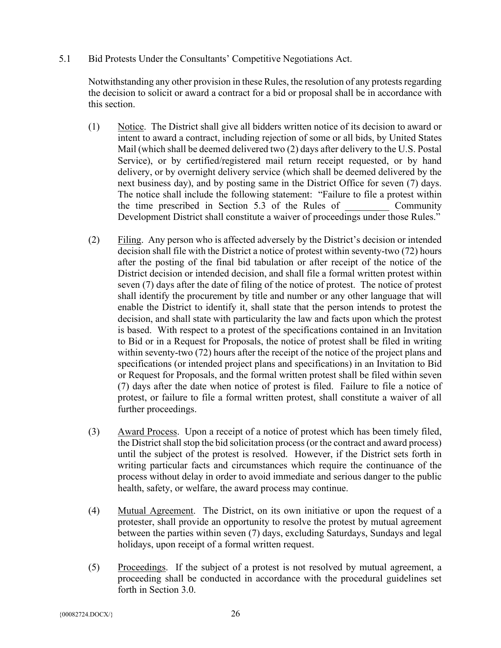5.1 Bid Protests Under the Consultants' Competitive Negotiations Act.

Notwithstanding any other provision in these Rules, the resolution of any protests regarding the decision to solicit or award a contract for a bid or proposal shall be in accordance with this section.

- (1) Notice. The District shall give all bidders written notice of its decision to award or intent to award a contract, including rejection of some or all bids, by United States Mail (which shall be deemed delivered two (2) days after delivery to the U.S. Postal Service), or by certified/registered mail return receipt requested, or by hand delivery, or by overnight delivery service (which shall be deemed delivered by the next business day), and by posting same in the District Office for seven (7) days. The notice shall include the following statement: "Failure to file a protest within the time prescribed in Section 5.3 of the Rules of Community Development District shall constitute a waiver of proceedings under those Rules."
- (2) Filing. Any person who is affected adversely by the District's decision or intended decision shall file with the District a notice of protest within seventy-two (72) hours after the posting of the final bid tabulation or after receipt of the notice of the District decision or intended decision, and shall file a formal written protest within seven (7) days after the date of filing of the notice of protest. The notice of protest shall identify the procurement by title and number or any other language that will enable the District to identify it, shall state that the person intends to protest the decision, and shall state with particularity the law and facts upon which the protest is based. With respect to a protest of the specifications contained in an Invitation to Bid or in a Request for Proposals, the notice of protest shall be filed in writing within seventy-two (72) hours after the receipt of the notice of the project plans and specifications (or intended project plans and specifications) in an Invitation to Bid or Request for Proposals, and the formal written protest shall be filed within seven (7) days after the date when notice of protest is filed. Failure to file a notice of protest, or failure to file a formal written protest, shall constitute a waiver of all further proceedings.
- (3) Award Process. Upon a receipt of a notice of protest which has been timely filed, the District shall stop the bid solicitation process (or the contract and award process) until the subject of the protest is resolved. However, if the District sets forth in writing particular facts and circumstances which require the continuance of the process without delay in order to avoid immediate and serious danger to the public health, safety, or welfare, the award process may continue.
- (4) Mutual Agreement. The District, on its own initiative or upon the request of a protester, shall provide an opportunity to resolve the protest by mutual agreement between the parties within seven (7) days, excluding Saturdays, Sundays and legal holidays, upon receipt of a formal written request.
- (5) Proceedings. If the subject of a protest is not resolved by mutual agreement, a proceeding shall be conducted in accordance with the procedural guidelines set forth in Section 3.0.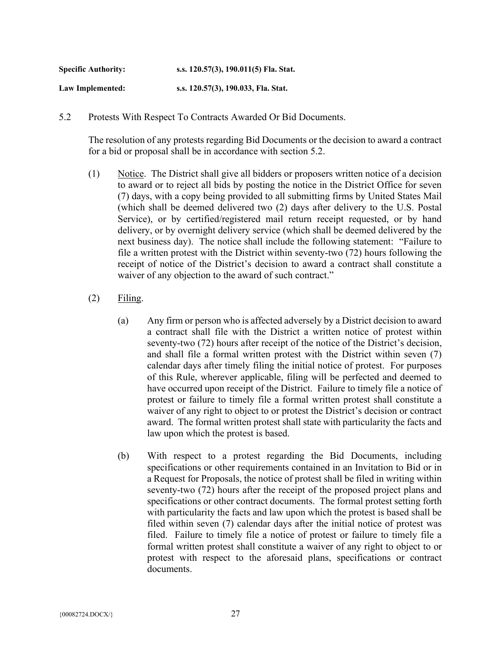| <b>Specific Authority:</b> | s.s. 120.57(3), 190.011(5) Fla. Stat. |
|----------------------------|---------------------------------------|
| Law Implemented:           | s.s. 120.57(3), 190.033, Fla. Stat.   |

5.2 Protests With Respect To Contracts Awarded Or Bid Documents.

The resolution of any protests regarding Bid Documents or the decision to award a contract for a bid or proposal shall be in accordance with section 5.2.

- (1) Notice. The District shall give all bidders or proposers written notice of a decision to award or to reject all bids by posting the notice in the District Office for seven (7) days, with a copy being provided to all submitting firms by United States Mail (which shall be deemed delivered two (2) days after delivery to the U.S. Postal Service), or by certified/registered mail return receipt requested, or by hand delivery, or by overnight delivery service (which shall be deemed delivered by the next business day). The notice shall include the following statement: "Failure to file a written protest with the District within seventy-two (72) hours following the receipt of notice of the District's decision to award a contract shall constitute a waiver of any objection to the award of such contract."
- $(2)$  Filing.
	- (a) Any firm or person who is affected adversely by a District decision to award a contract shall file with the District a written notice of protest within seventy-two (72) hours after receipt of the notice of the District's decision, and shall file a formal written protest with the District within seven (7) calendar days after timely filing the initial notice of protest. For purposes of this Rule, wherever applicable, filing will be perfected and deemed to have occurred upon receipt of the District. Failure to timely file a notice of protest or failure to timely file a formal written protest shall constitute a waiver of any right to object to or protest the District's decision or contract award. The formal written protest shall state with particularity the facts and law upon which the protest is based.
	- (b) With respect to a protest regarding the Bid Documents, including specifications or other requirements contained in an Invitation to Bid or in a Request for Proposals, the notice of protest shall be filed in writing within seventy-two (72) hours after the receipt of the proposed project plans and specifications or other contract documents. The formal protest setting forth with particularity the facts and law upon which the protest is based shall be filed within seven (7) calendar days after the initial notice of protest was filed. Failure to timely file a notice of protest or failure to timely file a formal written protest shall constitute a waiver of any right to object to or protest with respect to the aforesaid plans, specifications or contract documents.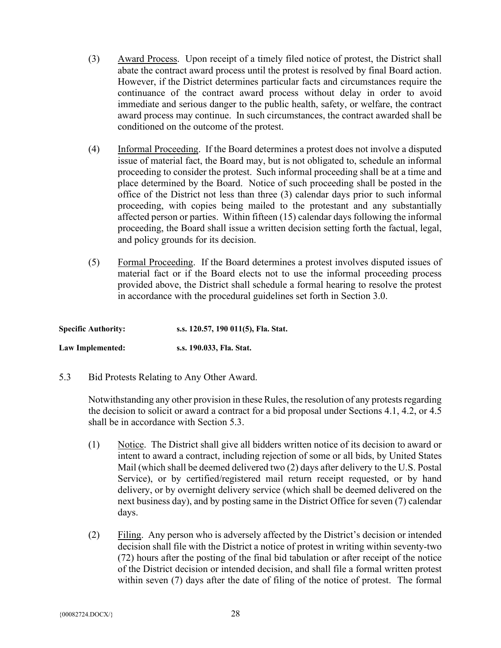- (3) Award Process. Upon receipt of a timely filed notice of protest, the District shall abate the contract award process until the protest is resolved by final Board action. However, if the District determines particular facts and circumstances require the continuance of the contract award process without delay in order to avoid immediate and serious danger to the public health, safety, or welfare, the contract award process may continue. In such circumstances, the contract awarded shall be conditioned on the outcome of the protest.
- (4) Informal Proceeding. If the Board determines a protest does not involve a disputed issue of material fact, the Board may, but is not obligated to, schedule an informal proceeding to consider the protest. Such informal proceeding shall be at a time and place determined by the Board. Notice of such proceeding shall be posted in the office of the District not less than three (3) calendar days prior to such informal proceeding, with copies being mailed to the protestant and any substantially affected person or parties. Within fifteen (15) calendar days following the informal proceeding, the Board shall issue a written decision setting forth the factual, legal, and policy grounds for its decision.
- (5) Formal Proceeding. If the Board determines a protest involves disputed issues of material fact or if the Board elects not to use the informal proceeding process provided above, the District shall schedule a formal hearing to resolve the protest in accordance with the procedural guidelines set forth in Section 3.0.

| <b>Specific Authority:</b> | s.s. 120.57, 190 011(5), Fla. Stat. |
|----------------------------|-------------------------------------|
| Law Implemented:           | s.s. 190.033, Fla. Stat.            |

5.3 Bid Protests Relating to Any Other Award.

Notwithstanding any other provision in these Rules, the resolution of any protests regarding the decision to solicit or award a contract for a bid proposal under Sections 4.1, 4.2, or 4.5 shall be in accordance with Section 5.3.

- (1) Notice. The District shall give all bidders written notice of its decision to award or intent to award a contract, including rejection of some or all bids, by United States Mail (which shall be deemed delivered two (2) days after delivery to the U.S. Postal Service), or by certified/registered mail return receipt requested, or by hand delivery, or by overnight delivery service (which shall be deemed delivered on the next business day), and by posting same in the District Office for seven (7) calendar days.
- (2) Filing. Any person who is adversely affected by the District's decision or intended decision shall file with the District a notice of protest in writing within seventy-two (72) hours after the posting of the final bid tabulation or after receipt of the notice of the District decision or intended decision, and shall file a formal written protest within seven (7) days after the date of filing of the notice of protest. The formal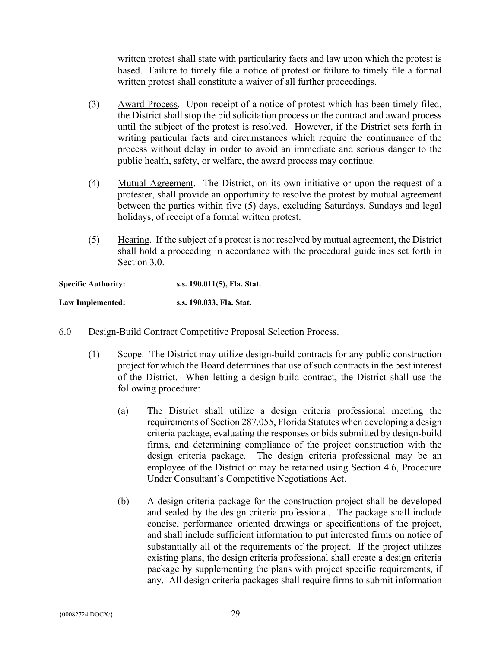written protest shall state with particularity facts and law upon which the protest is based. Failure to timely file a notice of protest or failure to timely file a formal written protest shall constitute a waiver of all further proceedings.

- (3) Award Process. Upon receipt of a notice of protest which has been timely filed, the District shall stop the bid solicitation process or the contract and award process until the subject of the protest is resolved. However, if the District sets forth in writing particular facts and circumstances which require the continuance of the process without delay in order to avoid an immediate and serious danger to the public health, safety, or welfare, the award process may continue.
- (4) Mutual Agreement. The District, on its own initiative or upon the request of a protester, shall provide an opportunity to resolve the protest by mutual agreement between the parties within five (5) days, excluding Saturdays, Sundays and legal holidays, of receipt of a formal written protest.
- (5) Hearing. If the subject of a protest is not resolved by mutual agreement, the District shall hold a proceeding in accordance with the procedural guidelines set forth in Section 3.0.

| <b>Specific Authority:</b> | s.s. 190.011(5), Fla. Stat. |
|----------------------------|-----------------------------|
| Law Implemented:           | s.s. 190.033, Fla. Stat.    |

- 6.0 Design-Build Contract Competitive Proposal Selection Process.
	- (1) Scope. The District may utilize design-build contracts for any public construction project for which the Board determines that use of such contracts in the best interest of the District. When letting a design-build contract, the District shall use the following procedure:
		- (a) The District shall utilize a design criteria professional meeting the requirements of Section 287.055, Florida Statutes when developing a design criteria package, evaluating the responses or bids submitted by design-build firms, and determining compliance of the project construction with the design criteria package. The design criteria professional may be an employee of the District or may be retained using Section 4.6, Procedure Under Consultant's Competitive Negotiations Act.
		- (b) A design criteria package for the construction project shall be developed and sealed by the design criteria professional. The package shall include concise, performance–oriented drawings or specifications of the project, and shall include sufficient information to put interested firms on notice of substantially all of the requirements of the project. If the project utilizes existing plans, the design criteria professional shall create a design criteria package by supplementing the plans with project specific requirements, if any. All design criteria packages shall require firms to submit information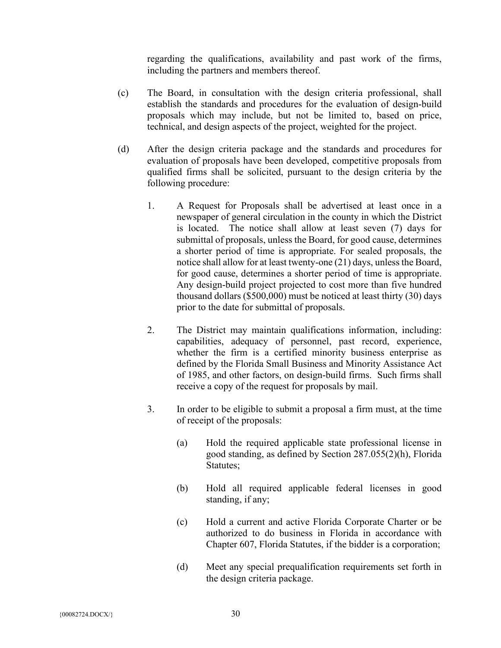regarding the qualifications, availability and past work of the firms, including the partners and members thereof.

- (c) The Board, in consultation with the design criteria professional, shall establish the standards and procedures for the evaluation of design-build proposals which may include, but not be limited to, based on price, technical, and design aspects of the project, weighted for the project.
- (d) After the design criteria package and the standards and procedures for evaluation of proposals have been developed, competitive proposals from qualified firms shall be solicited, pursuant to the design criteria by the following procedure:
	- 1. A Request for Proposals shall be advertised at least once in a newspaper of general circulation in the county in which the District is located. The notice shall allow at least seven (7) days for submittal of proposals, unless the Board, for good cause, determines a shorter period of time is appropriate. For sealed proposals, the notice shall allow for at least twenty-one (21) days, unless the Board, for good cause, determines a shorter period of time is appropriate. Any design-build project projected to cost more than five hundred thousand dollars (\$500,000) must be noticed at least thirty (30) days prior to the date for submittal of proposals.
	- 2. The District may maintain qualifications information, including: capabilities, adequacy of personnel, past record, experience, whether the firm is a certified minority business enterprise as defined by the Florida Small Business and Minority Assistance Act of 1985, and other factors, on design-build firms. Such firms shall receive a copy of the request for proposals by mail.
	- 3. In order to be eligible to submit a proposal a firm must, at the time of receipt of the proposals:
		- (a) Hold the required applicable state professional license in good standing, as defined by Section 287.055(2)(h), Florida Statutes;
		- (b) Hold all required applicable federal licenses in good standing, if any;
		- (c) Hold a current and active Florida Corporate Charter or be authorized to do business in Florida in accordance with Chapter 607, Florida Statutes, if the bidder is a corporation;
		- (d) Meet any special prequalification requirements set forth in the design criteria package.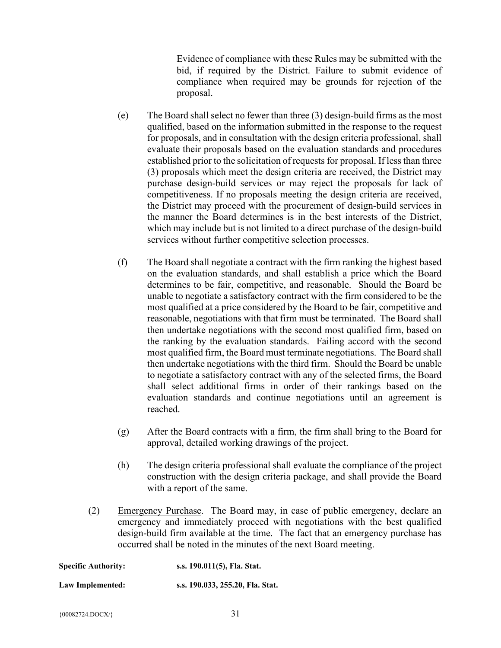Evidence of compliance with these Rules may be submitted with the bid, if required by the District. Failure to submit evidence of compliance when required may be grounds for rejection of the proposal.

- (e) The Board shall select no fewer than three (3) design-build firms as the most qualified, based on the information submitted in the response to the request for proposals, and in consultation with the design criteria professional, shall evaluate their proposals based on the evaluation standards and procedures established prior to the solicitation of requests for proposal. If less than three (3) proposals which meet the design criteria are received, the District may purchase design-build services or may reject the proposals for lack of competitiveness. If no proposals meeting the design criteria are received, the District may proceed with the procurement of design-build services in the manner the Board determines is in the best interests of the District, which may include but is not limited to a direct purchase of the design-build services without further competitive selection processes.
- (f) The Board shall negotiate a contract with the firm ranking the highest based on the evaluation standards, and shall establish a price which the Board determines to be fair, competitive, and reasonable. Should the Board be unable to negotiate a satisfactory contract with the firm considered to be the most qualified at a price considered by the Board to be fair, competitive and reasonable, negotiations with that firm must be terminated. The Board shall then undertake negotiations with the second most qualified firm, based on the ranking by the evaluation standards. Failing accord with the second most qualified firm, the Board must terminate negotiations. The Board shall then undertake negotiations with the third firm. Should the Board be unable to negotiate a satisfactory contract with any of the selected firms, the Board shall select additional firms in order of their rankings based on the evaluation standards and continue negotiations until an agreement is reached.
- (g) After the Board contracts with a firm, the firm shall bring to the Board for approval, detailed working drawings of the project.
- (h) The design criteria professional shall evaluate the compliance of the project construction with the design criteria package, and shall provide the Board with a report of the same.
- (2) Emergency Purchase. The Board may, in case of public emergency, declare an emergency and immediately proceed with negotiations with the best qualified design-build firm available at the time. The fact that an emergency purchase has occurred shall be noted in the minutes of the next Board meeting.

| <b>Specific Authority:</b> | s.s. 190.011(5), Fla. Stat.      |
|----------------------------|----------------------------------|
| Law Implemented:           | s.s. 190.033, 255.20, Fla. Stat. |